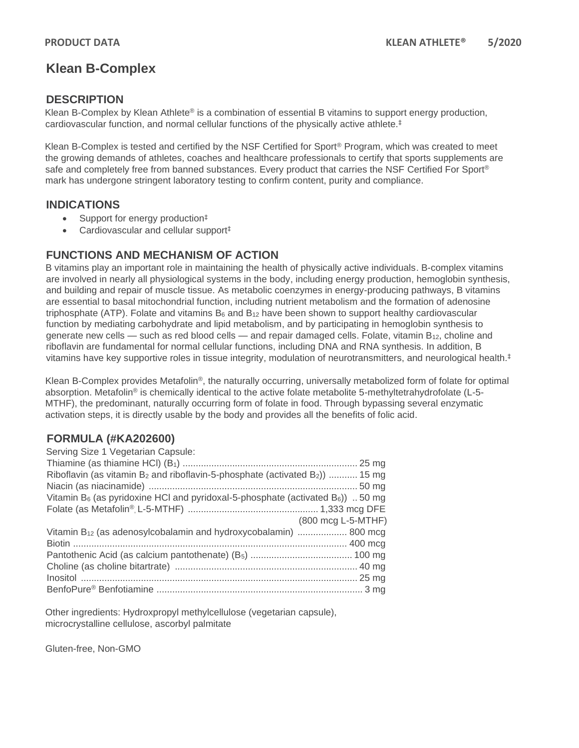# **Klean B-Complex**

### **DESCRIPTION**

Klean B-Complex by Klean Athlete<sup>®</sup> is a combination of essential B vitamins to support energy production, cardiovascular function, and normal cellular functions of the physically active athlete.‡

Klean B-Complex is tested and certified by the NSF Certified for Sport® Program, which was created to meet the growing demands of athletes, coaches and healthcare professionals to certify that sports supplements are safe and completely free from banned substances. Every product that carries the NSF Certified For Sport® mark has undergone stringent laboratory testing to confirm content, purity and compliance.

#### **INDICATIONS**

- Support for energy production<sup>‡</sup>
- Cardiovascular and cellular support<sup>‡</sup>

#### **FUNCTIONS AND MECHANISM OF ACTION**

B vitamins play an important role in maintaining the health of physically active individuals. B-complex vitamins are involved in nearly all physiological systems in the body, including energy production, hemoglobin synthesis, and building and repair of muscle tissue. As metabolic coenzymes in energy-producing pathways, B vitamins are essential to basal mitochondrial function, including nutrient metabolism and the formation of adenosine triphosphate (ATP). Folate and vitamins  $B_6$  and  $B_{12}$  have been shown to support healthy cardiovascular function by mediating carbohydrate and lipid metabolism, and by participating in hemoglobin synthesis to generate new cells — such as red blood cells — and repair damaged cells. Folate, vitamin  $B_{12}$ , choline and riboflavin are fundamental for normal cellular functions, including DNA and RNA synthesis. In addition, B vitamins have key supportive roles in tissue integrity, modulation of neurotransmitters, and neurological health.<sup>‡</sup>

Klean B-Complex provides Metafolin®, the naturally occurring, universally metabolized form of folate for optimal absorption. Metafolin® is chemically identical to the active folate metabolite 5-methyltetrahydrofolate (L-5- MTHF), the predominant, naturally occurring form of folate in food. Through bypassing several enzymatic activation steps, it is directly usable by the body and provides all the benefits of folic acid.

## **FORMULA (#KA202600)**

| Serving Size 1 Vegetarian Capsule:                                                                      |  |
|---------------------------------------------------------------------------------------------------------|--|
|                                                                                                         |  |
| Riboflavin (as vitamin $B_2$ and riboflavin-5-phosphate (activated $B_2$ ))  15 mg                      |  |
|                                                                                                         |  |
| Vitamin B <sub>6</sub> (as pyridoxine HCl and pyridoxal-5-phosphate (activated B <sub>6</sub> ))  50 mg |  |
|                                                                                                         |  |
| (800 mcg L-5-MTHF)                                                                                      |  |
| Vitamin B <sub>12</sub> (as adenosylcobalamin and hydroxycobalamin)  800 mcg                            |  |
|                                                                                                         |  |
|                                                                                                         |  |
|                                                                                                         |  |
|                                                                                                         |  |
|                                                                                                         |  |

Other ingredients: Hydroxpropyl methylcellulose (vegetarian capsule), microcrystalline cellulose, ascorbyl palmitate

Gluten-free, Non-GMO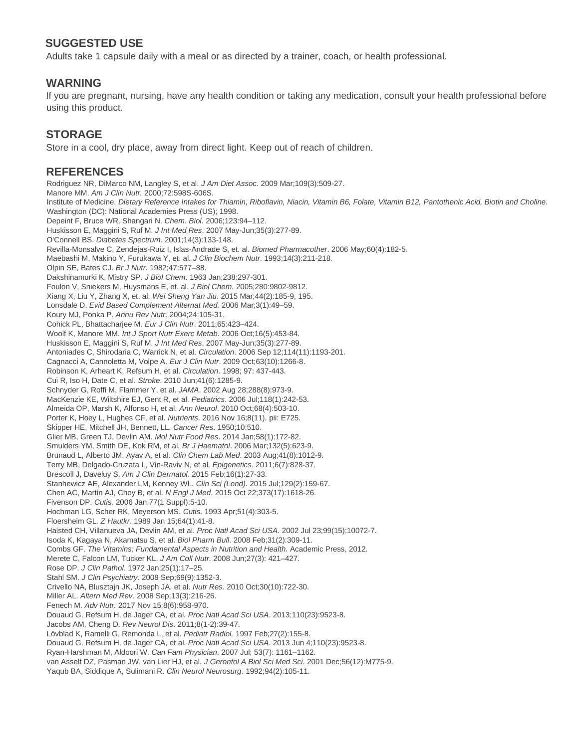## **SUGGESTED USE**

Adults take 1 capsule daily with a meal or as directed by a trainer, coach, or health professional.

#### **WARNING**

If you are pregnant, nursing, have any health condition or taking any medication, consult your health professional before using this product.

## **STORAGE**

Store in a cool, dry place, away from direct light. Keep out of reach of children.

#### **REFERENCES**

Rodriguez NR, DiMarco NM, Langley S, et al. *J Am Diet Assoc.* 2009 Mar;109(3):509-27. Manore MM. *Am J Clin Nutr.* 2000;72:598S-606S. Institute of Medicine. *Dietary Reference Intakes for Thiamin, Riboflavin, Niacin, Vitamin B6, Folate, Vitamin B12, Pantothenic Acid, Biotin and Choline.* Washington (DC): National Academies Press (US); 1998. Depeint F, Bruce WR, Shangari N. *Chem. Biol*. 2006;123:94–112. Huskisson E, Maggini S, Ruf M. *J Int Med Res*. 2007 May-Jun;35(3):277-89. O'Connell BS. *Diabetes Spectrum*. 2001;14(3):133-148. Revilla-Monsalve C, Zendejas-Ruiz I, Islas-Andrade S, et. al. *Biomed Pharmacother*. 2006 May;60(4):182-5. Maebashi M, Makino Y, Furukawa Y, et. al. *J Clin Biochem Nutr*. 1993;14(3):211-218. Olpin SE, Bates CJ. *Br J Nutr*. 1982;47:577–88. Dakshinamurki K, Mistry SP. *J Biol Chem*. 1963 Jan;238:297-301. Foulon V, Sniekers M, Huysmans E, et. al. *J Biol Chem*. 2005;280:9802-9812. Xiang X, Liu Y, Zhang X, et. al. *Wei Sheng Yan Jiu*. 2015 Mar;44(2):185-9, 195. Lonsdale D. *Evid Based Complement Alternat Med.* 2006 Mar;3(1):49–59. Koury MJ, Ponka P. *Annu Rev Nutr*. 2004;24:105-31. Cohick PL, Bhattacharjee M. *Eur J Clin Nutr*. 2011;65:423–424. Woolf K, Manore MM. *Int J Sport Nutr Exerc Metab*. 2006 Oct;16(5):453-84. Huskisson E, Maggini S, Ruf M. *J Int Med Res*. 2007 May-Jun;35(3):277-89. Antoniades C, Shirodaria C, Warrick N, et al. *Circulation*. 2006 Sep 12;114(11):1193-201. Cagnacci A, Cannoletta M, Volpe A. *Eur J Clin Nutr*. 2009 Oct;63(10):1266-8. Robinson K, Arheart K, Refsum H, et al. *Circulation*. 1998; 97: 437-443. Cui R, Iso H, Date C, et al. *Stroke*. 2010 Jun;41(6):1285-9. Schnyder G, Roffi M, Flammer Y, et al. *JAMA*. 2002 Aug 28;288(8):973-9. MacKenzie KE, Wiltshire EJ, Gent R, et al. *Pediatrics*. 2006 Jul;118(1):242-53. Almeida OP, Marsh K, Alfonso H, et al. *Ann Neurol*. 2010 Oct;68(4):503-10. Porter K, Hoey L, Hughes CF, et al. *Nutrients*. 2016 Nov 16;8(11). pii: E725. Skipper HE, Mitchell JH, Bennett, LL. *Cancer Res*. 1950;10:510. Glier MB, Green TJ, Devlin AM. *Mol Nutr Food Res*. 2014 Jan;58(1):172-82. Smulders YM, Smith DE, Kok RM, et al. *Br J Haematol*. 2006 Mar;132(5):623-9. Brunaud L, Alberto JM, Ayav A, et al. *Clin Chem Lab Med*. 2003 Aug;41(8):1012-9. Terry MB, Delgado-Cruzata L, Vin-Raviv N, et al. *Epigenetics*. 2011;6(7):828-37. Brescoll J, Daveluy S. *Am J Clin Dermatol*. 2015 Feb;16(1):27-33. Stanhewicz AE, Alexander LM, Kenney WL. *Clin Sci (Lond).* 2015 Jul;129(2):159-67. Chen AC, Martin AJ, Choy B, et al. *N Engl J Med*. 2015 Oct 22;373(17):1618-26. Fivenson DP. *Cutis*. 2006 Jan;77(1 Suppl):5-10. Hochman LG, Scher RK, Meyerson MS. *Cutis*. 1993 Apr;51(4):303-5. Floersheim GL. *Z Hautkr*. 1989 Jan 15;64(1):41-8. Halsted CH, Villanueva JA, Devlin AM, et al. *Proc Natl Acad Sci USA*. 2002 Jul 23;99(15):10072-7. Isoda K, Kagaya N, Akamatsu S, et al. *Biol Pharm Bull*. 2008 Feb;31(2):309-11. Combs GF. *The Vitamins: Fundamental Aspects in Nutrition and Health.* Academic Press, 2012. Merete C, Falcon LM, Tucker KL. *J Am Coll Nutr*. 2008 Jun;27(3): 421–427. Rose DP. *J Clin Pathol*. 1972 Jan;25(1):17–25. Stahl SM. *J Clin Psychiatry*. 2008 Sep;69(9):1352-3. Crivello NA, Blusztajn JK, Joseph JA, et al. *Nutr Res*. 2010 Oct;30(10):722-30. Miller AL. *Altern Med Rev*. 2008 Sep;13(3):216-26. Fenech M. *Adv Nutr.* 2017 Nov 15;8(6):958-970. Douaud G, Refsum H, de Jager CA, et al. *Proc Natl Acad Sci USA*. 2013;110(23):9523-8. Jacobs AM, Cheng D. *Rev Neurol Dis*. 2011;8(1-2):39-47. Lövblad K, Ramelli G, Remonda L, et al. *Pediatr Radiol.* 1997 Feb;27(2):155-8. Douaud G, Refsum H, de Jager CA, et al. *Proc Natl Acad Sci USA*. 2013 Jun 4;110(23):9523-8. Ryan-Harshman M, Aldoori W. *Can Fam Physician*. 2007 Jul; 53(7): 1161–1162. van Asselt DZ, Pasman JW, van Lier HJ, et al. *J Gerontol A Biol Sci Med Sci*. 2001 Dec;56(12):M775-9. Yaqub BA, Siddique A, Sulimani R. *Clin Neurol Neurosurg*. 1992;94(2):105-11.